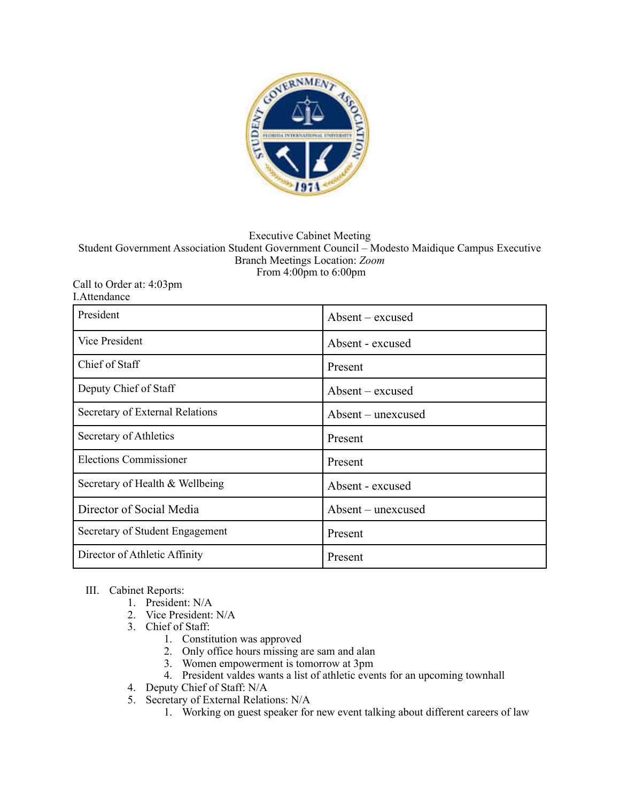

## Executive Cabinet Meeting Student Government Association Student Government Council – Modesto Maidique Campus Executive Branch Meetings Location: *Zoom*  From 4:00pm to 6:00pm

## Call to Order at: 4:03pm I.Attendance

| President                       | $A$ bsent – excused |
|---------------------------------|---------------------|
| Vice President                  | Absent - excused    |
| Chief of Staff                  | Present             |
| Deputy Chief of Staff           | $A$ bsent – excused |
| Secretary of External Relations | Absent – unexcused  |
| Secretary of Athletics          | Present             |
| Elections Commissioner          | Present             |
| Secretary of Health & Wellbeing | Absent - excused    |
| Director of Social Media        | Absent – unexcused  |
| Secretary of Student Engagement | Present             |
| Director of Athletic Affinity   | Present             |

## III. Cabinet Reports:

- 1. President: N/A
- 2. Vice President: N/A
- 3. Chief of Staff:
	- 1. Constitution was approved
	- 2. Only office hours missing are sam and alan
	- 3. Women empowerment is tomorrow at 3pm
	- 4. President valdes wants a list of athletic events for an upcoming townhall
- 4. Deputy Chief of Staff: N/A
- 5. Secretary of External Relations: N/A
	- 1. Working on guest speaker for new event talking about different careers of law